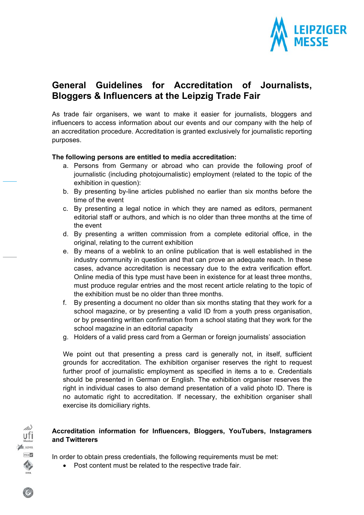

# **General Guidelines for Accreditation of Journalists, Bloggers & Influencers at the Leipzig Trade Fair**

As trade fair organisers, we want to make it easier for journalists, bloggers and influencers to access information about our events and our company with the help of an accreditation procedure. Accreditation is granted exclusively for journalistic reporting purposes.

# **The following persons are entitled to media accreditation:**

- a. Persons from Germany or abroad who can provide the following proof of journalistic (including photojournalistic) employment (related to the topic of the exhibition in question):
- b. By presenting by-line articles published no earlier than six months before the time of the event
- c. By presenting a legal notice in which they are named as editors, permanent editorial staff or authors, and which is no older than three months at the time of the event
- d. By presenting a written commission from a complete editorial office, in the original, relating to the current exhibition
- e. By means of a weblink to an online publication that is well established in the industry community in question and that can prove an adequate reach. In these cases, advance accreditation is necessary due to the extra verification effort. Online media of this type must have been in existence for at least three months, must produce regular entries and the most recent article relating to the topic of the exhibition must be no older than three months.
- f. By presenting a document no older than six months stating that they work for a school magazine, or by presenting a valid ID from a youth press organisation, or by presenting written confirmation from a school stating that they work for the school magazine in an editorial capacity
- g. Holders of a valid press card from a German or foreign journalists' association

We point out that presenting a press card is generally not, in itself, sufficient grounds for accreditation. The exhibition organiser reserves the right to request further proof of journalistic employment as specified in items a to e. Credentials should be presented in German or English. The exhibition organiser reserves the right in individual cases to also demand presentation of a valid photo ID. There is no automatic right to accreditation. If necessary, the exhibition organiser shall exercise its domiciliary rights.

# **Accreditation information for Influencers, Bloggers, YouTubers, Instagramers and Twitterers**

In order to obtain press credentials, the following requirements must be met:

Post content must be related to the respective trade fair.

ufi **L**AUMA